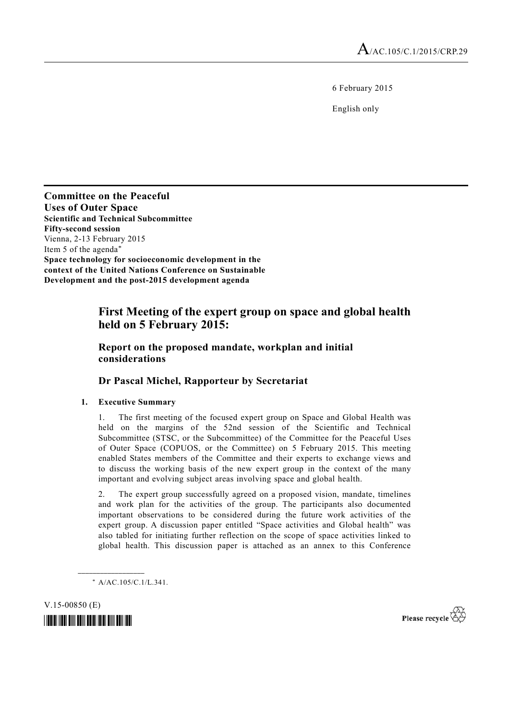6 February 2015

English only

**Committee on the Peaceful Uses of Outer Space Scientific and Technical Subcommittee Fifty-second session**  Vienna, 2-13 February 2015 Item 5 of the agenda\* **Space technology for socioeconomic development in the context of the United Nations Conference on Sustainable Development and the post-2015 development agenda** 

# **First Meeting of the expert group on space and global health held on 5 February 2015:**

# **Report on the proposed mandate, workplan and initial considerations**

# **Dr Pascal Michel, Rapporteur by Secretariat**

# **1. Executive Summary**

1. The first meeting of the focused expert group on Space and Global Health was held on the margins of the 52nd session of the Scientific and Technical Subcommittee (STSC, or the Subcommittee) of the Committee for the Peaceful Uses of Outer Space (COPUOS, or the Committee) on 5 February 2015. This meeting enabled States members of the Committee and their experts to exchange views and to discuss the working basis of the new expert group in the context of the many important and evolving subject areas involving space and global health.

2. The expert group successfully agreed on a proposed vision, mandate, timelines and work plan for the activities of the group. The participants also documented important observations to be considered during the future work activities of the expert group. A discussion paper entitled "Space activities and Global health" was also tabled for initiating further reflection on the scope of space activities linked to global health. This discussion paper is attached as an annex to this Conference

\* A/AC.105/C.1/L.341.

**\_\_\_\_\_\_\_\_\_\_\_\_\_\_\_\_\_\_** 

V.15-00850 (E)



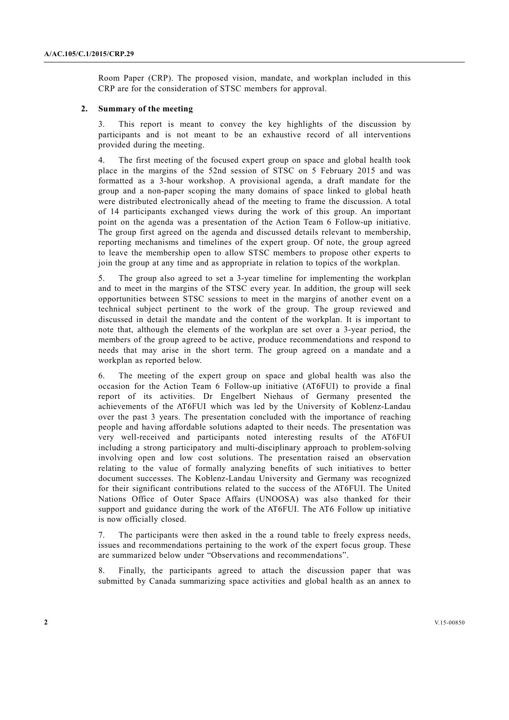Room Paper (CRP). The proposed vision, mandate, and workplan included in this CRP are for the consideration of STSC members for approval.

### **2. Summary of the meeting**

3. This report is meant to convey the key highlights of the discussion by participants and is not meant to be an exhaustive record of all interventions provided during the meeting.

4. The first meeting of the focused expert group on space and global health took place in the margins of the 52nd session of STSC on 5 February 2015 and was formatted as a 3-hour workshop. A provisional agenda, a draft mandate for the group and a non-paper scoping the many domains of space linked to global heath were distributed electronically ahead of the meeting to frame the discussion. A total of 14 participants exchanged views during the work of this group. An important point on the agenda was a presentation of the Action Team 6 Follow-up initiative. The group first agreed on the agenda and discussed details relevant to membership, reporting mechanisms and timelines of the expert group. Of note, the group agreed to leave the membership open to allow STSC members to propose other experts to join the group at any time and as appropriate in relation to topics of the workplan.

5. The group also agreed to set a 3-year timeline for implementing the workplan and to meet in the margins of the STSC every year. In addition, the group will seek opportunities between STSC sessions to meet in the margins of another event on a technical subject pertinent to the work of the group. The group reviewed and discussed in detail the mandate and the content of the workplan. It is important to note that, although the elements of the workplan are set over a 3-year period, the members of the group agreed to be active, produce recommendations and respond to needs that may arise in the short term. The group agreed on a mandate and a workplan as reported below.

6. The meeting of the expert group on space and global health was also the occasion for the Action Team 6 Follow-up initiative (AT6FUI) to provide a final report of its activities. Dr Engelbert Niehaus of Germany presented the achievements of the AT6FUI which was led by the University of Koblenz-Landau over the past 3 years. The presentation concluded with the importance of reaching people and having affordable solutions adapted to their needs. The presentation was very well-received and participants noted interesting results of the AT6FUI including a strong participatory and multi-disciplinary approach to problem-solving involving open and low cost solutions. The presentation raised an observation relating to the value of formally analyzing benefits of such initiatives to better document successes. The Koblenz-Landau University and Germany was recognized for their significant contributions related to the success of the AT6FUI. The United Nations Office of Outer Space Affairs (UNOOSA) was also thanked for their support and guidance during the work of the AT6FUI. The AT6 Follow up initiative is now officially closed.

7. The participants were then asked in the a round table to freely express needs, issues and recommendations pertaining to the work of the expert focus group. These are summarized below under "Observations and recommendations".

8. Finally, the participants agreed to attach the discussion paper that was submitted by Canada summarizing space activities and global health as an annex to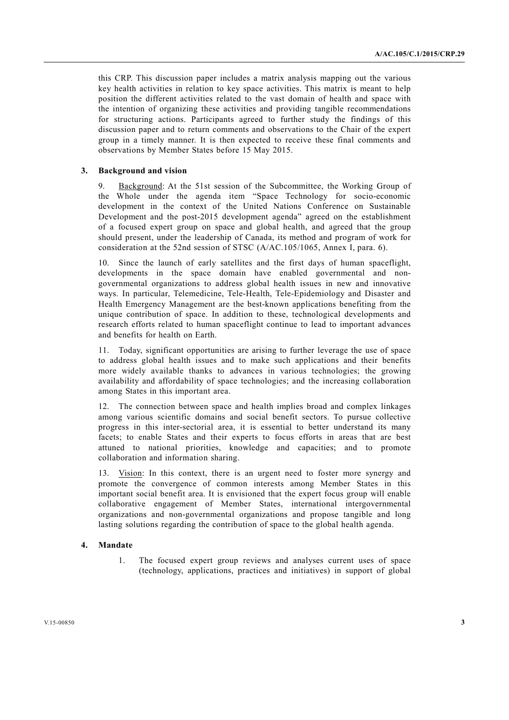this CRP. This discussion paper includes a matrix analysis mapping out the various key health activities in relation to key space activities. This matrix is meant to help position the different activities related to the vast domain of health and space with the intention of organizing these activities and providing tangible recommendations for structuring actions. Participants agreed to further study the findings of this discussion paper and to return comments and observations to the Chair of the expert group in a timely manner. It is then expected to receive these final comments and observations by Member States before 15 May 2015.

#### **3. Background and vision**

9. Background: At the 51st session of the Subcommittee, the Working Group of the Whole under the agenda item "Space Technology for socio-economic development in the context of the United Nations Conference on Sustainable Development and the post-2015 development agenda" agreed on the establishment of a focused expert group on space and global health, and agreed that the group should present, under the leadership of Canada, its method and program of work for consideration at the 52nd session of STSC (A/AC.105/1065, Annex I, para. 6).

10. Since the launch of early satellites and the first days of human spaceflight, developments in the space domain have enabled governmental and nongovernmental organizations to address global health issues in new and innovative ways. In particular, Telemedicine, Tele-Health, Tele-Epidemiology and Disaster and Health Emergency Management are the best-known applications benefiting from the unique contribution of space. In addition to these, technological developments and research efforts related to human spaceflight continue to lead to important advances and benefits for health on Earth.

11. Today, significant opportunities are arising to further leverage the use of space to address global health issues and to make such applications and their benefits more widely available thanks to advances in various technologies; the growing availability and affordability of space technologies; and the increasing collaboration among States in this important area.

12. The connection between space and health implies broad and complex linkages among various scientific domains and social benefit sectors. To pursue collective progress in this inter-sectorial area, it is essential to better understand its many facets; to enable States and their experts to focus efforts in areas that are best attuned to national priorities, knowledge and capacities; and to promote collaboration and information sharing.

13. Vision: In this context, there is an urgent need to foster more synergy and promote the convergence of common interests among Member States in this important social benefit area. It is envisioned that the expert focus group will enable collaborative engagement of Member States, international intergovernmental organizations and non-governmental organizations and propose tangible and long lasting solutions regarding the contribution of space to the global health agenda.

#### **4. Mandate**

 1. The focused expert group reviews and analyses current uses of space (technology, applications, practices and initiatives) in support of global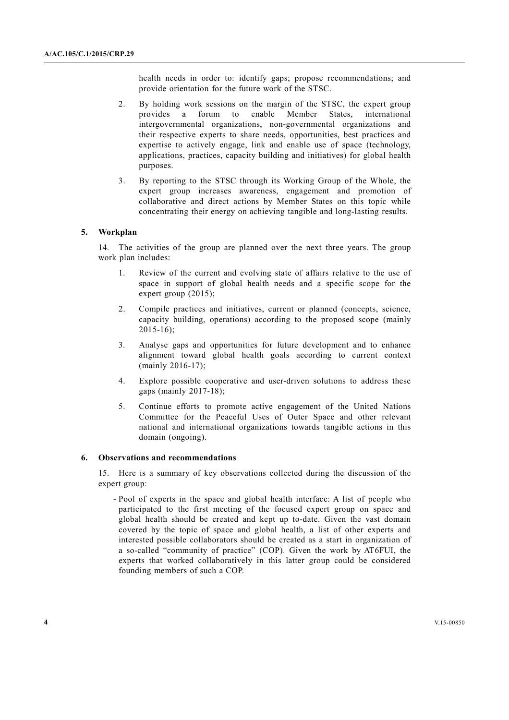health needs in order to: identify gaps; propose recommendations; and provide orientation for the future work of the STSC.

- 2. By holding work sessions on the margin of the STSC, the expert group provides a forum to enable Member States, international intergovernmental organizations, non-governmental organizations and their respective experts to share needs, opportunities, best practices and expertise to actively engage, link and enable use of space (technology, applications, practices, capacity building and initiatives) for global health purposes.
- 3. By reporting to the STSC through its Working Group of the Whole, the expert group increases awareness, engagement and promotion of collaborative and direct actions by Member States on this topic while concentrating their energy on achieving tangible and long-lasting results.

#### **5. Workplan**

14. The activities of the group are planned over the next three years. The group work plan includes:

- 1. Review of the current and evolving state of affairs relative to the use of space in support of global health needs and a specific scope for the expert group (2015);
- 2. Compile practices and initiatives, current or planned (concepts, science, capacity building, operations) according to the proposed scope (mainly 2015-16);
- 3. Analyse gaps and opportunities for future development and to enhance alignment toward global health goals according to current context (mainly 2016-17);
- 4. Explore possible cooperative and user-driven solutions to address these gaps (mainly 2017-18);
- 5. Continue efforts to promote active engagement of the United Nations Committee for the Peaceful Uses of Outer Space and other relevant national and international organizations towards tangible actions in this domain (ongoing).

#### **6. Observations and recommendations**

15. Here is a summary of key observations collected during the discussion of the expert group:

 - Pool of experts in the space and global health interface: A list of people who participated to the first meeting of the focused expert group on space and global health should be created and kept up to-date. Given the vast domain covered by the topic of space and global health, a list of other experts and interested possible collaborators should be created as a start in organization of a so-called "community of practice" (COP). Given the work by AT6FUI, the experts that worked collaboratively in this latter group could be considered founding members of such a COP.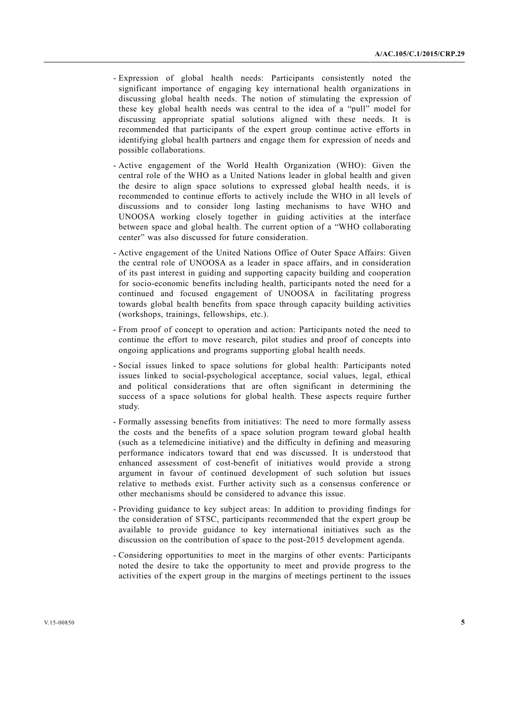- Expression of global health needs: Participants consistently noted the significant importance of engaging key international health organizations in discussing global health needs. The notion of stimulating the expression of these key global health needs was central to the idea of a "pull" model for discussing appropriate spatial solutions aligned with these needs. It is recommended that participants of the expert group continue active efforts in identifying global health partners and engage them for expression of needs and possible collaborations.
- Active engagement of the World Health Organization (WHO): Given the central role of the WHO as a United Nations leader in global health and given the desire to align space solutions to expressed global health needs, it is recommended to continue efforts to actively include the WHO in all levels of discussions and to consider long lasting mechanisms to have WHO and UNOOSA working closely together in guiding activities at the interface between space and global health. The current option of a "WHO collaborating center" was also discussed for future consideration.
- Active engagement of the United Nations Office of Outer Space Affairs: Given the central role of UNOOSA as a leader in space affairs, and in consideration of its past interest in guiding and supporting capacity building and cooperation for socio-economic benefits including health, participants noted the need for a continued and focused engagement of UNOOSA in facilitating progress towards global health benefits from space through capacity building activities (workshops, trainings, fellowships, etc.).
- From proof of concept to operation and action: Participants noted the need to continue the effort to move research, pilot studies and proof of concepts into ongoing applications and programs supporting global health needs.
- Social issues linked to space solutions for global health: Participants noted issues linked to social-psychological acceptance, social values, legal, ethical and political considerations that are often significant in determining the success of a space solutions for global health. These aspects require further study.
- Formally assessing benefits from initiatives: The need to more formally assess the costs and the benefits of a space solution program toward global health (such as a telemedicine initiative) and the difficulty in defining and measuring performance indicators toward that end was discussed. It is understood that enhanced assessment of cost-benefit of initiatives would provide a strong argument in favour of continued development of such solution but issues relative to methods exist. Further activity such as a consensus conference or other mechanisms should be considered to advance this issue.
- Providing guidance to key subject areas: In addition to providing findings for the consideration of STSC, participants recommended that the expert group be available to provide guidance to key international initiatives such as the discussion on the contribution of space to the post-2015 development agenda.
- Considering opportunities to meet in the margins of other events: Participants noted the desire to take the opportunity to meet and provide progress to the activities of the expert group in the margins of meetings pertinent to the issues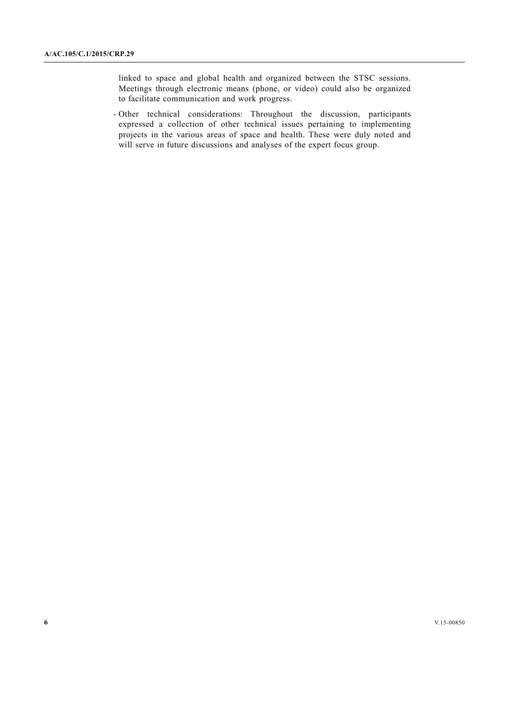linked to space and global health and organized between the STSC sessions. Meetings through electronic means (phone, or video) could also be organized to facilitate communication and work progress.

 - Other technical considerations: Throughout the discussion, participants expressed a collection of other technical issues pertaining to implementing projects in the various areas of space and health. These were duly noted and will serve in future discussions and analyses of the expert focus group.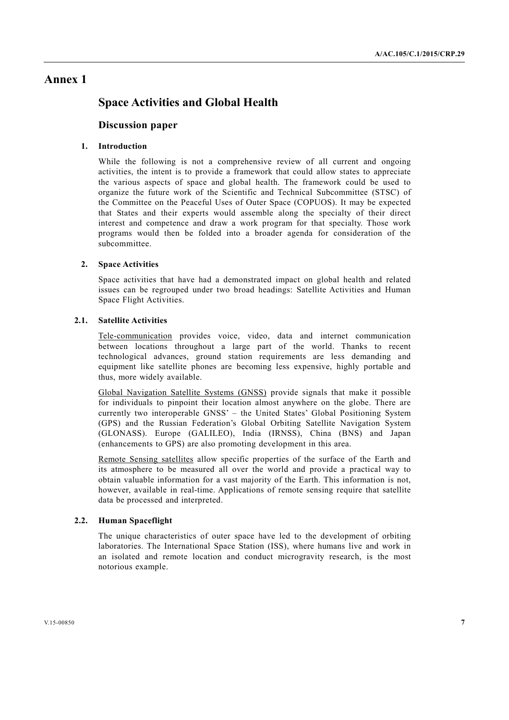# **Annex 1**

# **Space Activities and Global Health**

# **Discussion paper**

# **1. Introduction**

While the following is not a comprehensive review of all current and ongoing activities, the intent is to provide a framework that could allow states to appreciate the various aspects of space and global health. The framework could be used to organize the future work of the Scientific and Technical Subcommittee (STSC) of the Committee on the Peaceful Uses of Outer Space (COPUOS). It may be expected that States and their experts would assemble along the specialty of their direct interest and competence and draw a work program for that specialty. Those work programs would then be folded into a broader agenda for consideration of the subcommittee.

## **2. Space Activities**

Space activities that have had a demonstrated impact on global health and related issues can be regrouped under two broad headings: Satellite Activities and Human Space Flight Activities.

## **2.1. Satellite Activities**

Tele-communication provides voice, video, data and internet communication between locations throughout a large part of the world. Thanks to recent technological advances, ground station requirements are less demanding and equipment like satellite phones are becoming less expensive, highly portable and thus, more widely available.

Global Navigation Satellite Systems (GNSS) provide signals that make it possible for individuals to pinpoint their location almost anywhere on the globe. There are currently two interoperable GNSS' – the United States' Global Positioning System (GPS) and the Russian Federation's Global Orbiting Satellite Navigation System (GLONASS). Europe (GALILEO), India (IRNSS), China (BNS) and Japan (enhancements to GPS) are also promoting development in this area.

Remote Sensing satellites allow specific properties of the surface of the Earth and its atmosphere to be measured all over the world and provide a practical way to obtain valuable information for a vast majority of the Earth. This information is not, however, available in real-time. Applications of remote sensing require that satellite data be processed and interpreted.

#### **2.2. Human Spaceflight**

The unique characteristics of outer space have led to the development of orbiting laboratories. The International Space Station (ISS), where humans live and work in an isolated and remote location and conduct microgravity research, is the most notorious example.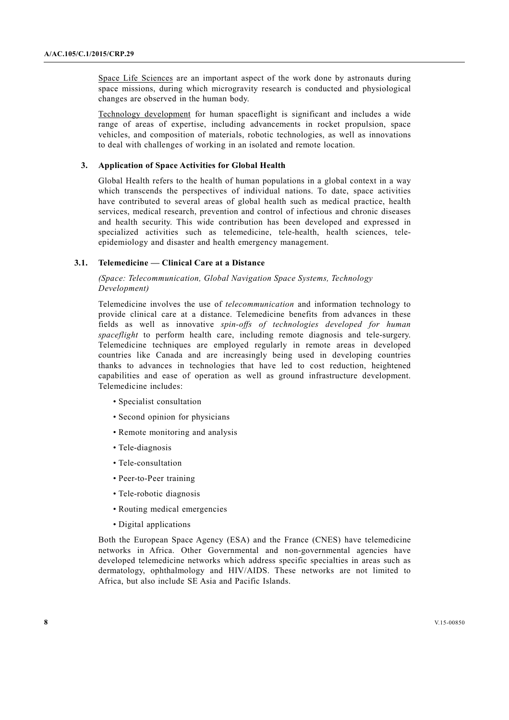Space Life Sciences are an important aspect of the work done by astronauts during space missions, during which microgravity research is conducted and physiological changes are observed in the human body.

Technology development for human spaceflight is significant and includes a wide range of areas of expertise, including advancements in rocket propulsion, space vehicles, and composition of materials, robotic technologies, as well as innovations to deal with challenges of working in an isolated and remote location.

#### **3. Application of Space Activities for Global Health**

Global Health refers to the health of human populations in a global context in a way which transcends the perspectives of individual nations. To date, space activities have contributed to several areas of global health such as medical practice, health services, medical research, prevention and control of infectious and chronic diseases and health security. This wide contribution has been developed and expressed in specialized activities such as telemedicine, tele-health, health sciences, teleepidemiology and disaster and health emergency management.

# **3.1. Telemedicine — Clinical Care at a Distance**

 *(Space: Telecommunication, Global Navigation Space Systems, Technology Development)* 

Telemedicine involves the use of *telecommunication* and information technology to provide clinical care at a distance. Telemedicine benefits from advances in these fields as well as innovative *spin-offs of technologies developed for human spaceflight* to perform health care, including remote diagnosis and tele-surgery. Telemedicine techniques are employed regularly in remote areas in developed countries like Canada and are increasingly being used in developing countries thanks to advances in technologies that have led to cost reduction, heightened capabilities and ease of operation as well as ground infrastructure development. Telemedicine includes:

- Specialist consultation
- Second opinion for physicians
- Remote monitoring and analysis
- Tele-diagnosis
- Tele-consultation
- Peer-to-Peer training
- Tele-robotic diagnosis
- Routing medical emergencies
- Digital applications

Both the European Space Agency (ESA) and the France (CNES) have telemedicine networks in Africa. Other Governmental and non-governmental agencies have developed telemedicine networks which address specific specialties in areas such as dermatology, ophthalmology and HIV/AIDS. These networks are not limited to Africa, but also include SE Asia and Pacific Islands.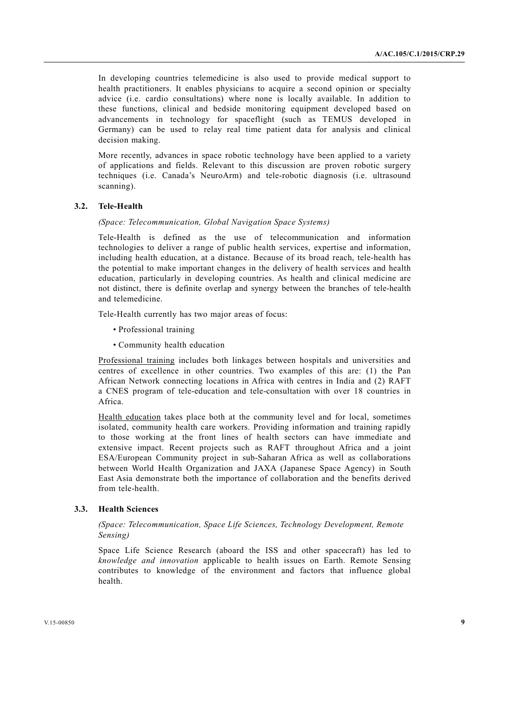In developing countries telemedicine is also used to provide medical support to health practitioners. It enables physicians to acquire a second opinion or specialty advice (i.e. cardio consultations) where none is locally available. In addition to these functions, clinical and bedside monitoring equipment developed based on advancements in technology for spaceflight (such as TEMUS developed in Germany) can be used to relay real time patient data for analysis and clinical decision making.

More recently, advances in space robotic technology have been applied to a variety of applications and fields. Relevant to this discussion are proven robotic surgery techniques (i.e. Canada's NeuroArm) and tele-robotic diagnosis (i.e. ultrasound scanning).

#### **3.2. Tele-Health**

## *(Space: Telecommunication, Global Navigation Space Systems)*

Tele-Health is defined as the use of telecommunication and information technologies to deliver a range of public health services, expertise and information, including health education, at a distance. Because of its broad reach, tele-health has the potential to make important changes in the delivery of health services and health education, particularly in developing countries. As health and clinical medicine are not distinct, there is definite overlap and synergy between the branches of tele-health and telemedicine.

Tele-Health currently has two major areas of focus:

- Professional training
- Community health education

Professional training includes both linkages between hospitals and universities and centres of excellence in other countries. Two examples of this are: (1) the Pan African Network connecting locations in Africa with centres in India and (2) RAFT a CNES program of tele-education and tele-consultation with over 18 countries in Africa.

Health education takes place both at the community level and for local, sometimes isolated, community health care workers. Providing information and training rapidly to those working at the front lines of health sectors can have immediate and extensive impact. Recent projects such as RAFT throughout Africa and a joint ESA/European Community project in sub-Saharan Africa as well as collaborations between World Health Organization and JAXA (Japanese Space Agency) in South East Asia demonstrate both the importance of collaboration and the benefits derived from tele-health.

# **3.3. Health Sciences**

# *(Space: Telecommunication, Space Life Sciences, Technology Development, Remote Sensing)*

Space Life Science Research (aboard the ISS and other spacecraft) has led to *knowledge and innovation* applicable to health issues on Earth. Remote Sensing contributes to knowledge of the environment and factors that influence global health.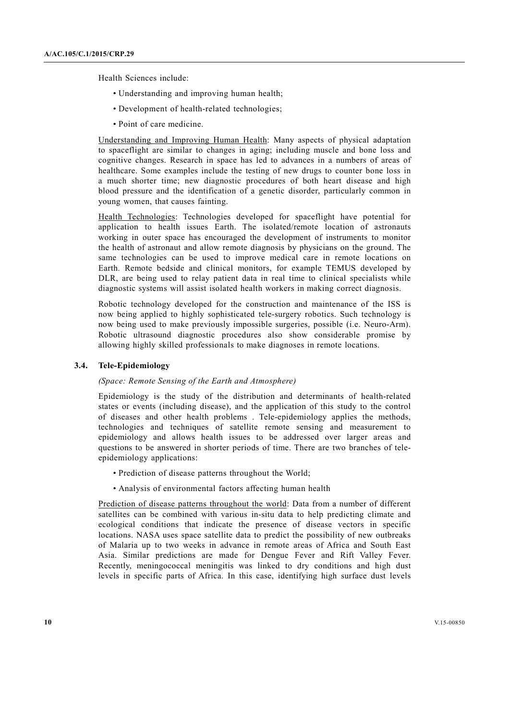Health Sciences include:

- Understanding and improving human health;
- Development of health-related technologies;
- Point of care medicine.

Understanding and Improving Human Health: Many aspects of physical adaptation to spaceflight are similar to changes in aging; including muscle and bone loss and cognitive changes. Research in space has led to advances in a numbers of areas of healthcare. Some examples include the testing of new drugs to counter bone loss in a much shorter time; new diagnostic procedures of both heart disease and high blood pressure and the identification of a genetic disorder, particularly common in young women, that causes fainting.

Health Technologies: Technologies developed for spaceflight have potential for application to health issues Earth. The isolated/remote location of astronauts working in outer space has encouraged the development of instruments to monitor the health of astronaut and allow remote diagnosis by physicians on the ground. The same technologies can be used to improve medical care in remote locations on Earth. Remote bedside and clinical monitors, for example TEMUS developed by DLR, are being used to relay patient data in real time to clinical specialists while diagnostic systems will assist isolated health workers in making correct diagnosis.

Robotic technology developed for the construction and maintenance of the ISS is now being applied to highly sophisticated tele-surgery robotics. Such technology is now being used to make previously impossible surgeries, possible (i.e. Neuro-Arm). Robotic ultrasound diagnostic procedures also show considerable promise by allowing highly skilled professionals to make diagnoses in remote locations.

## **3.4. Tele-Epidemiology**

# *(Space: Remote Sensing of the Earth and Atmosphere)*

Epidemiology is the study of the distribution and determinants of health-related states or events (including disease), and the application of this study to the control of diseases and other health problems . Tele-epidemiology applies the methods, technologies and techniques of satellite remote sensing and measurement to epidemiology and allows health issues to be addressed over larger areas and questions to be answered in shorter periods of time. There are two branches of teleepidemiology applications:

- Prediction of disease patterns throughout the World;
- Analysis of environmental factors affecting human health

Prediction of disease patterns throughout the world: Data from a number of different satellites can be combined with various in-situ data to help predicting climate and ecological conditions that indicate the presence of disease vectors in specific locations. NASA uses space satellite data to predict the possibility of new outbreaks of Malaria up to two weeks in advance in remote areas of Africa and South East Asia. Similar predictions are made for Dengue Fever and Rift Valley Fever. Recently, meningococcal meningitis was linked to dry conditions and high dust levels in specific parts of Africa. In this case, identifying high surface dust levels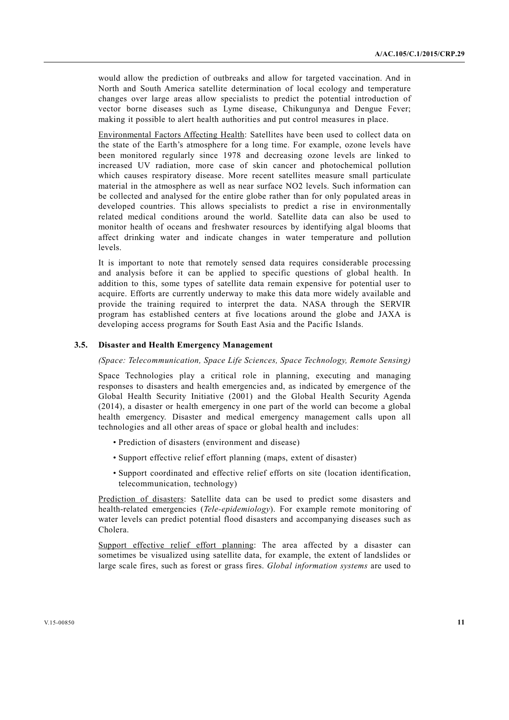would allow the prediction of outbreaks and allow for targeted vaccination. And in North and South America satellite determination of local ecology and temperature changes over large areas allow specialists to predict the potential introduction of vector borne diseases such as Lyme disease, Chikungunya and Dengue Fever; making it possible to alert health authorities and put control measures in place.

Environmental Factors Affecting Health: Satellites have been used to collect data on the state of the Earth's atmosphere for a long time. For example, ozone levels have been monitored regularly since 1978 and decreasing ozone levels are linked to increased UV radiation, more case of skin cancer and photochemical pollution which causes respiratory disease. More recent satellites measure small particulate material in the atmosphere as well as near surface NO2 levels. Such information can be collected and analysed for the entire globe rather than for only populated areas in developed countries. This allows specialists to predict a rise in environmentally related medical conditions around the world. Satellite data can also be used to monitor health of oceans and freshwater resources by identifying algal blooms that affect drinking water and indicate changes in water temperature and pollution levels.

It is important to note that remotely sensed data requires considerable processing and analysis before it can be applied to specific questions of global health. In addition to this, some types of satellite data remain expensive for potential user to acquire. Efforts are currently underway to make this data more widely available and provide the training required to interpret the data. NASA through the SERVIR program has established centers at five locations around the globe and JAXA is developing access programs for South East Asia and the Pacific Islands.

### **3.5. Disaster and Health Emergency Management**

#### *(Space: Telecommunication, Space Life Sciences, Space Technology, Remote Sensing)*

Space Technologies play a critical role in planning, executing and managing responses to disasters and health emergencies and, as indicated by emergence of the Global Health Security Initiative (2001) and the Global Health Security Agenda (2014), a disaster or health emergency in one part of the world can become a global health emergency. Disaster and medical emergency management calls upon all technologies and all other areas of space or global health and includes:

- Prediction of disasters (environment and disease)
- Support effective relief effort planning (maps, extent of disaster)
- Support coordinated and effective relief efforts on site (location identification, telecommunication, technology)

Prediction of disasters: Satellite data can be used to predict some disasters and health-related emergencies (*Tele-epidemiology*). For example remote monitoring of water levels can predict potential flood disasters and accompanying diseases such as Cholera.

Support effective relief effort planning: The area affected by a disaster can sometimes be visualized using satellite data, for example, the extent of landslides or large scale fires, such as forest or grass fires. *Global information systems* are used to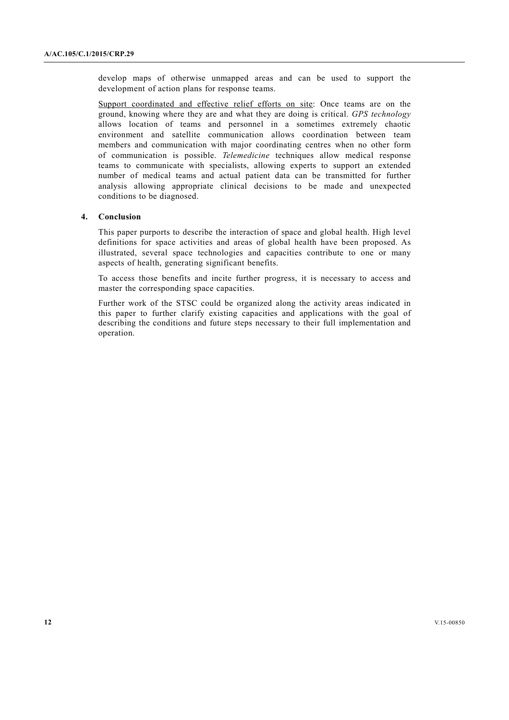develop maps of otherwise unmapped areas and can be used to support the development of action plans for response teams.

Support coordinated and effective relief efforts on site: Once teams are on the ground, knowing where they are and what they are doing is critical. *GPS technology* allows location of teams and personnel in a sometimes extremely chaotic environment and satellite communication allows coordination between team members and communication with major coordinating centres when no other form of communication is possible. *Telemedicine* techniques allow medical response teams to communicate with specialists, allowing experts to support an extended number of medical teams and actual patient data can be transmitted for further analysis allowing appropriate clinical decisions to be made and unexpected conditions to be diagnosed.

### **4. Conclusion**

This paper purports to describe the interaction of space and global health. High level definitions for space activities and areas of global health have been proposed. As illustrated, several space technologies and capacities contribute to one or many aspects of health, generating significant benefits.

To access those benefits and incite further progress, it is necessary to access and master the corresponding space capacities.

Further work of the STSC could be organized along the activity areas indicated in this paper to further clarify existing capacities and applications with the goal of describing the conditions and future steps necessary to their full implementation and operation.